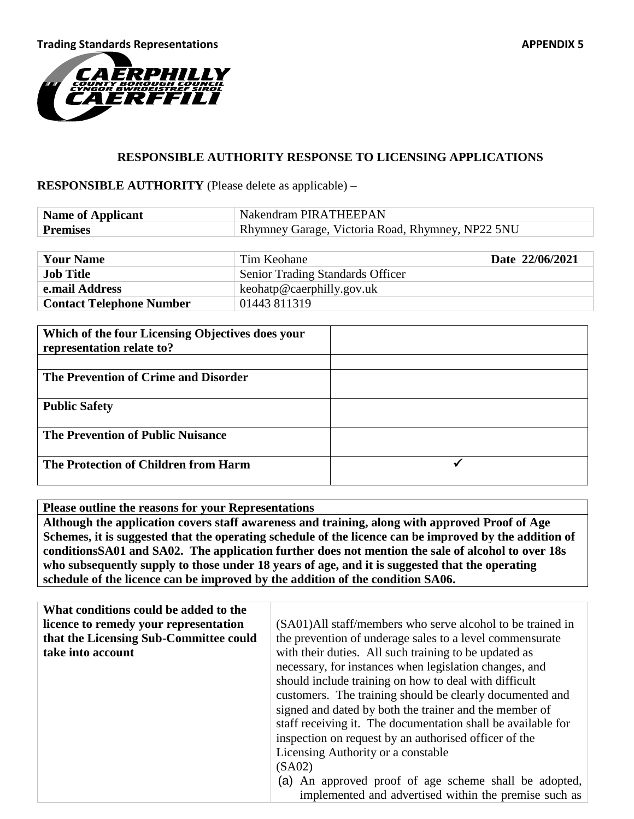

## **RESPONSIBLE AUTHORITY RESPONSE TO LICENSING APPLICATIONS**

## **RESPONSIBLE AUTHORITY** (Please delete as applicable) –

| <b>Name of Applicant</b> | Nakendram PIRATHEEPAN                            |
|--------------------------|--------------------------------------------------|
| <b>Premises</b>          | Rhymney Garage, Victoria Road, Rhymney, NP22 5NU |

| <b>Your Name</b>                | Tim Keohane                             | Date 22/06/2021 |
|---------------------------------|-----------------------------------------|-----------------|
| <b>Job Title</b>                | <b>Senior Trading Standards Officer</b> |                 |
| e.mail Address                  | keohatp@caerphilly.gov.uk               |                 |
| <b>Contact Telephone Number</b> | 01443 811319                            |                 |

| Which of the four Licensing Objectives does your |  |
|--------------------------------------------------|--|
| representation relate to?                        |  |
|                                                  |  |
| The Prevention of Crime and Disorder             |  |
|                                                  |  |
| <b>Public Safety</b>                             |  |
|                                                  |  |
| <b>The Prevention of Public Nuisance</b>         |  |
|                                                  |  |
| The Protection of Children from Harm             |  |
|                                                  |  |

**Please outline the reasons for your Representations Although the application covers staff awareness and training, along with approved Proof of Age Schemes, it is suggested that the operating schedule of the licence can be improved by the addition of conditionsSA01 and SA02. The application further does not mention the sale of alcohol to over 18s who subsequently supply to those under 18 years of age, and it is suggested that the operating schedule of the licence can be improved by the addition of the condition SA06.**

| What conditions could be added to the  |                                                              |
|----------------------------------------|--------------------------------------------------------------|
| licence to remedy your representation  | (SA01)All staff/members who serve alcohol to be trained in   |
| that the Licensing Sub-Committee could | the prevention of underage sales to a level commensurate     |
| take into account                      | with their duties. All such training to be updated as        |
|                                        | necessary, for instances when legislation changes, and       |
|                                        | should include training on how to deal with difficult        |
|                                        | customers. The training should be clearly documented and     |
|                                        | signed and dated by both the trainer and the member of       |
|                                        | staff receiving it. The documentation shall be available for |
|                                        | inspection on request by an authorised officer of the        |
|                                        | Licensing Authority or a constable                           |
|                                        | (SA02)                                                       |
|                                        | (a) An approved proof of age scheme shall be adopted,        |
|                                        | implemented and advertised within the premise such as        |